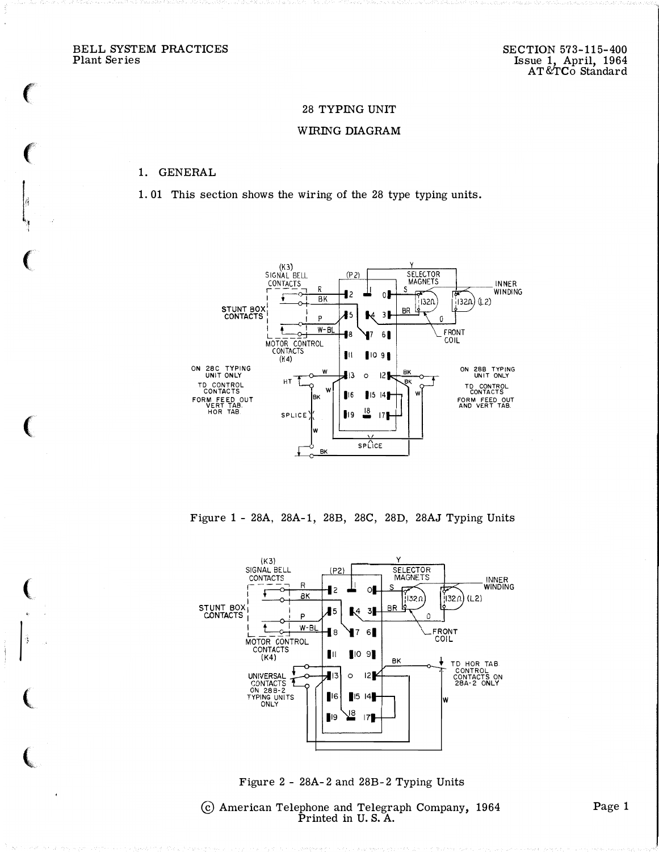BELL SYSTEM PRACTICES Plant Series

Ý.

## 28 TYPING UNIT

#### WIRING DIAGRAM

#### 1. GENERAL

1.01 This section shows the wiring of the 28 type typing units.



Figure 1 - 28A, 28A-1, 28B, 28C, 28D, 28AJ Typing Units



Figure 2 - 28A-2 and 28B-2 Typing Units

© American Telephone and Telegraph Company, 1964<br>Printed in U.S.A.

Page 1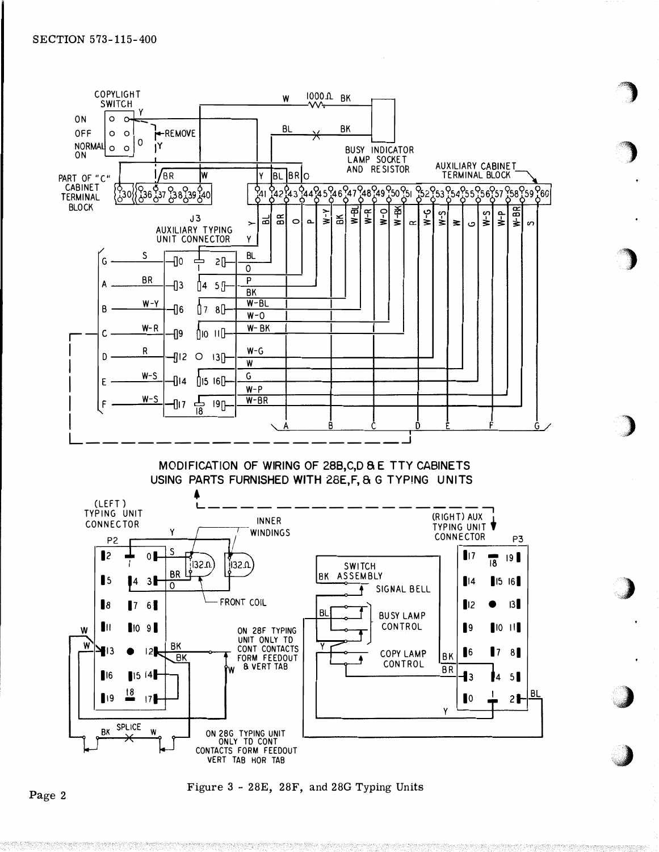

MODIFICATION OF WIRING OF 28B, C, D & E TTY CABINETS USING PARTS FURNISHED WITH 28E.F. & G TYPING UNITS



Figure 3 - 28E, 28F, and 28G Typing Units

Page 2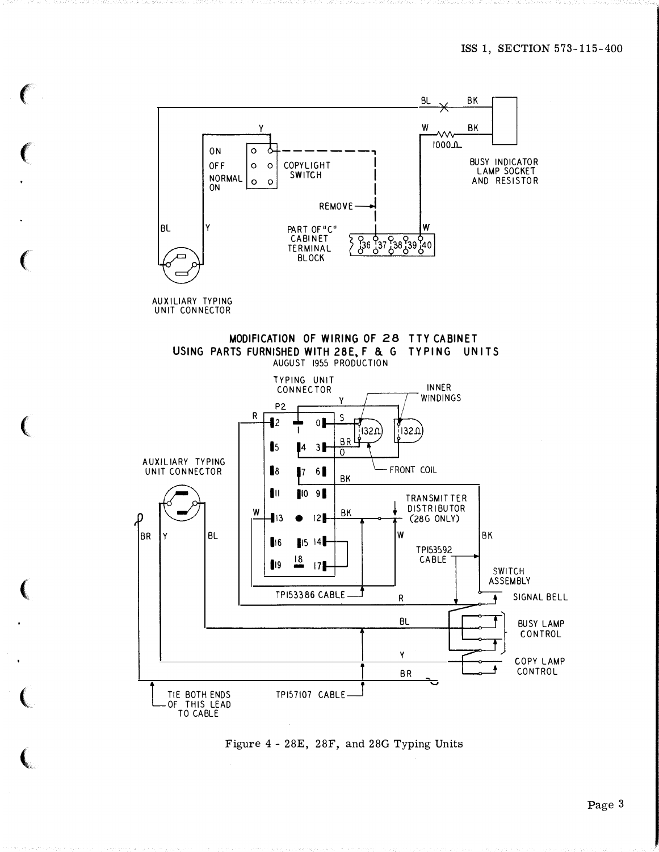

AUXILIARY TYPING UNIT CONNECTOR

 $\mathbf{C}$ 

 $\mathbf{C}$ 

 $\left($ 

 $\mathbf{C}$ 

 $\mathbf{C}$ 

 $\mathbf{C}$ 

**(** 

MODIFICATION OF WIRING OF 28 TTY CABINET USING PARTS FURNISHED WITH 28E, F & G TYPING UNITS AUGUST 1955 PRODUCTION



Figure 4- 28E, 28F, and 28G Typing Units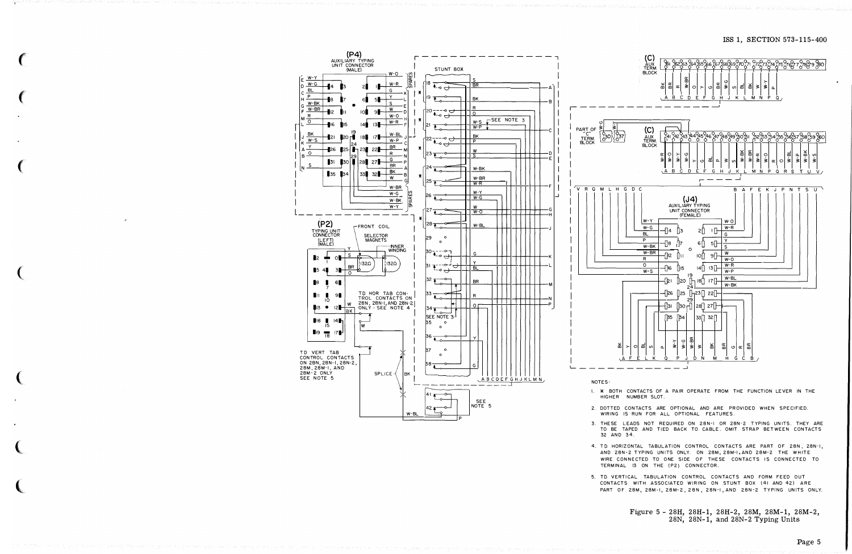ISS 1, SECTION 573-115-400



- 3. THESE LEADS NOT REQUIRED ON 28N-I OR 28N-2 TYPING UNITS. THEY ARE TO BE TAPED AND TIED BACK TO CABLE. OMIT STRAP BETWEEN CONTACTS 32 AND 34
- 4. TD HORIZONTAL TABULATION CONTROL CONTACTS ARE PART OF 28N, 28N-I, AND 28N-2 TYPING UNITS ONLY. ON 28M, 28M-1, AND 28M-2 THE WHITE WIRE CONNECTED TO ONE SIDE OF THESE CONTACTS IS CONNECTED TO TERMINAL 13 ON THE (P2) CONNECTOR.
- 5. TD VERTICAL TABULATION CONTROL CONTACTS AND FORM FEED OUT CONTACTS WITH ASSOCIATED WIRING ON STUNT BOX (41 AND 42) ARE PART OF 28M, 28M-1, 28M-2, 28N, 28N-1, AND 28N-2 TYPING UNITS ONLY.

Figure 5 - 28H, 28H-1, 28H-2, 28M, 28M-1, 28M-2,  $28N$ ,  $28N-1$ , and  $28N-2$  Typing Units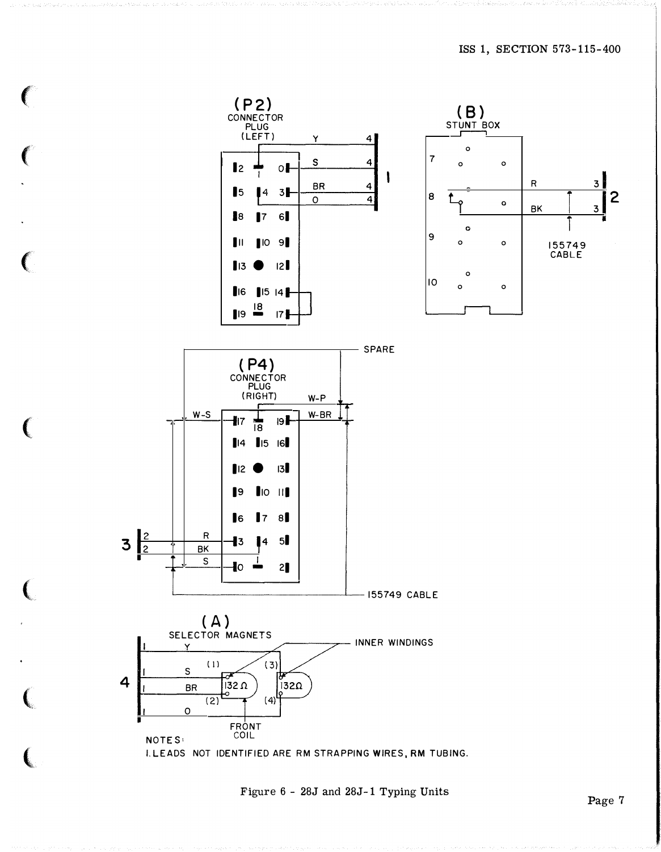

Figure 6 - 28J and 28J-1 Typing Units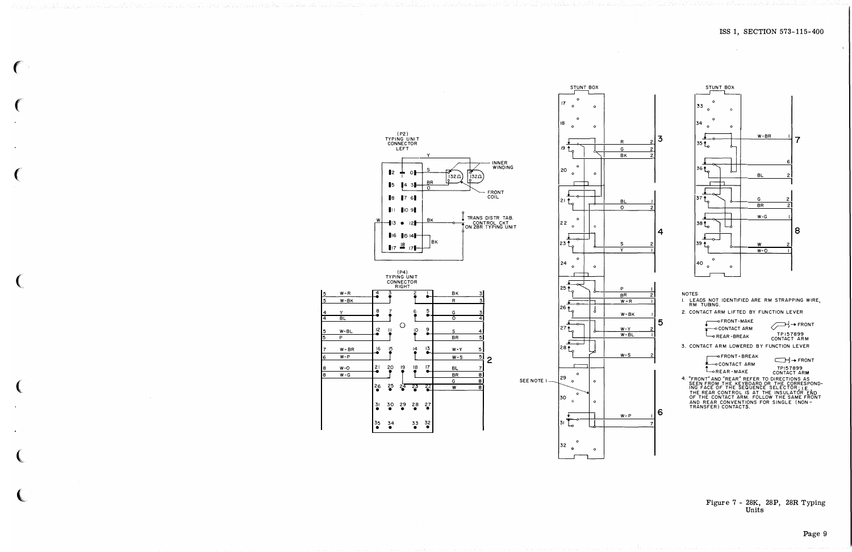

( I

 $W-R$   $4$  $W-BK$ 4 Y 8 BL

 $W-BL$   $12$ 

 $W-BR$   $\left| \begin{array}{cc} 16 \\ 2 \end{array} \right|$ 

 $W-O$  21

26 •

(P2) TYPING UNIT CONNECTOR

LEFT

'

੦⊩

y  $\mathsf{L}$  .

 $\overline{\mathcal{I}}$ 

**BR** 

'

| BK<br>|

**BK** 

I

5

9

 $\frac{13}{9}$ 

 $\frac{17}{9}$ 

22

27 •

32 •

|8 ||7 6||<br>||1 ||0 9||

13 • <sup>12</sup> 1  $16$   $1514$  $-17 - 18 - 17$ 

(P4)<br>TYPING UNIT<br>CONNECTOR<br>RIGHT

 $\bullet$  reduced to  $\bullet$ 

f r

<sup>r</sup><sup>0</sup><sup>f</sup>

 $\begin{array}{c} \n 15 \\
 \hline\n 20 \\
 \hline\n 18\n \end{array}$  $\begin{array}{c}\n\bullet \\
\bullet \\
\bullet \\
\bullet\n\end{array}$ 

 $25 \t24 \t23$ 

 $\frac{30}{9}$   $\frac{29}{9}$   $\frac{28}{9}$ 

34 33 • •

I  $\vert 7 \vert 6 \vert$ 

 $\mathbf{I}^2$ 15

31 •

35 •

5 p

6 W-P

8 W-G



NOTES: I. LEADS NOT IDENTIFIED ARE RM STRAPPING WIRE, RM TUBING.

2. CONTACT ARM LIFTED BY FUNCTION LEVER

 $\overline{\phantom{a}}$ -FRONT-MAKE CONTACT AR **OCONTACT ARM**→

 $\bigodot$  + FRONT TPI 57899 CONTACT ARM

3. CONTACT ARM LOWERED BY FUNCTION LEVER

CONTACT ARM FRONT-BREAK LOREAR-MAKE ■→ FRONT

TP!57899 CONTACT ARM

4. "FRONT" AND "REAR" REFER TO DIRECTIONS AS<br>SEEN FROM THE KEYBOARD OR THE CORRESPOND-<br>ING FACE OF THE SEQUENCE SELECTOR; I.E.<br>THE REAR CONTROL IS AT THE INSULATOR END<br>OF THE CONTACT ARM. FOLLOW THE SAME FRONT<br>AND REAR CON

Figure 7 - 28K, 28P, 28R Typing Units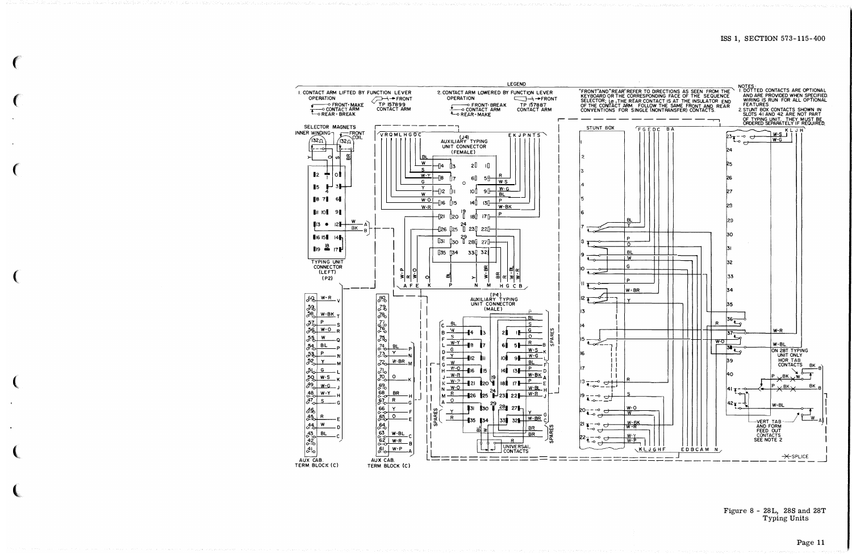

Figure 8 - 28L, 28S and 28T Typing Units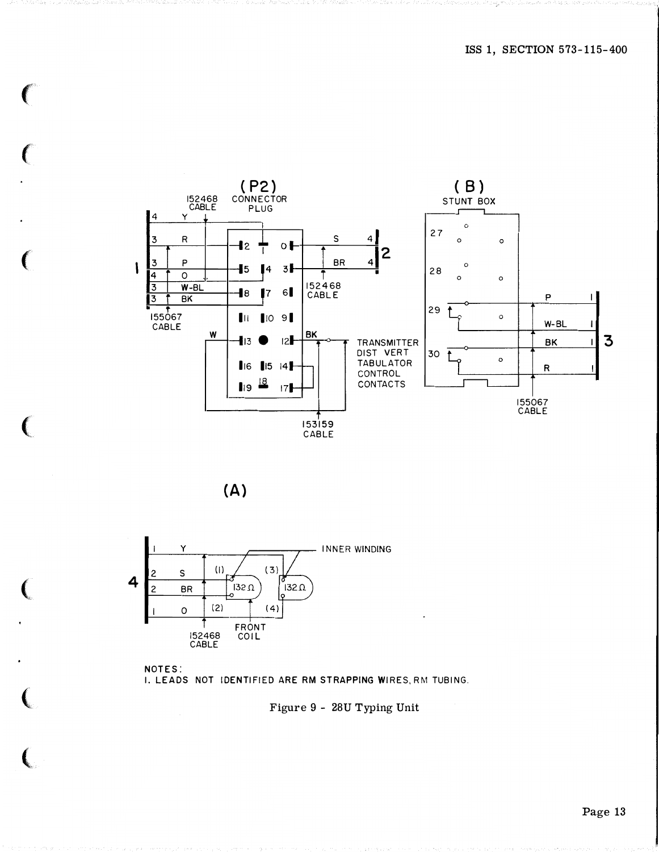







Figure 9 - 28U Typing Unit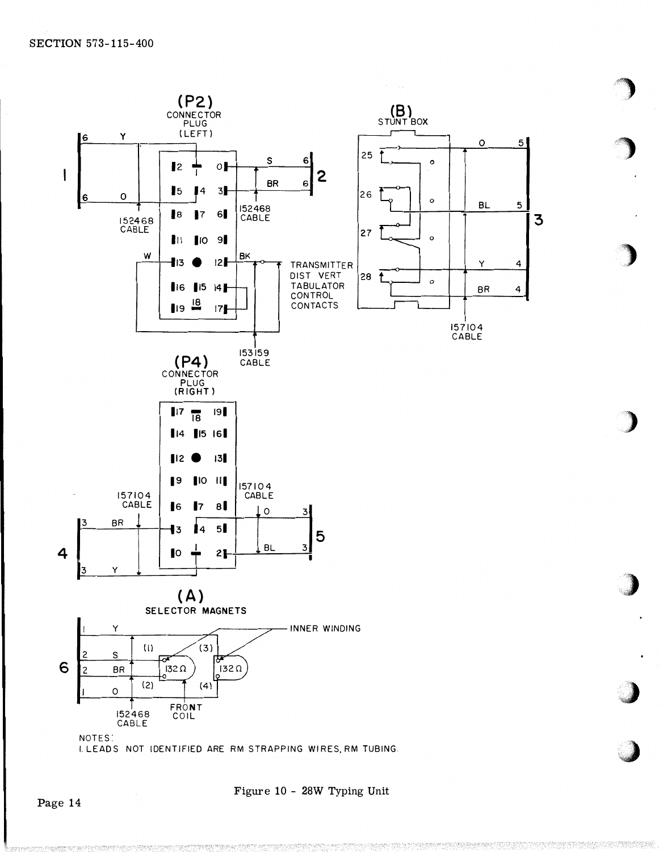

Figure 10 - 28W Typing Unit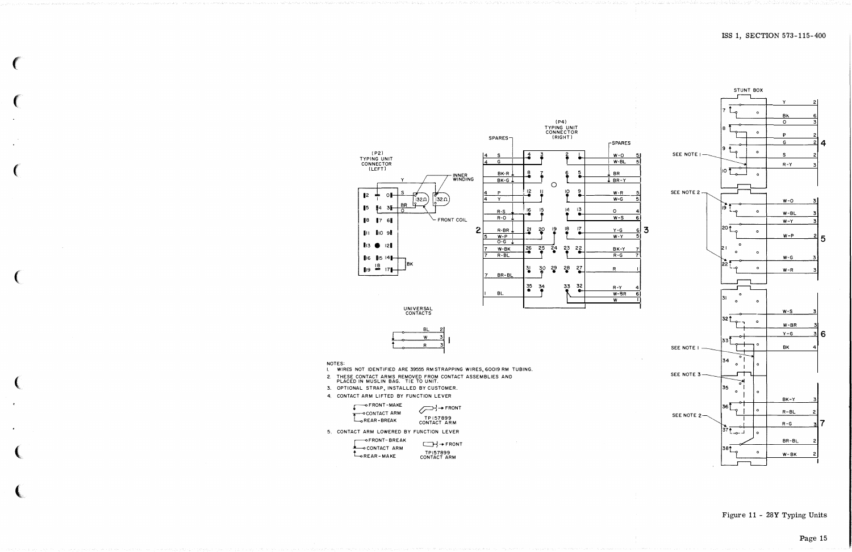

### Figure 11 - 28Y Typing Units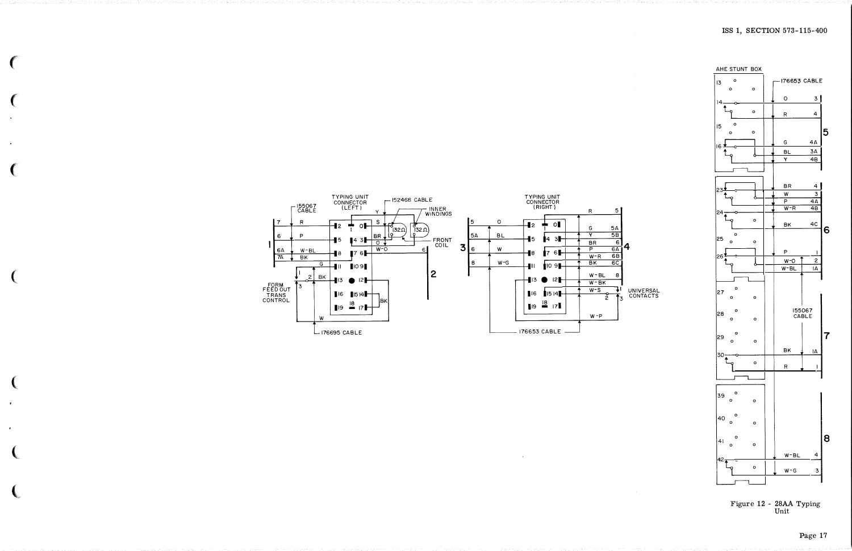





Page 17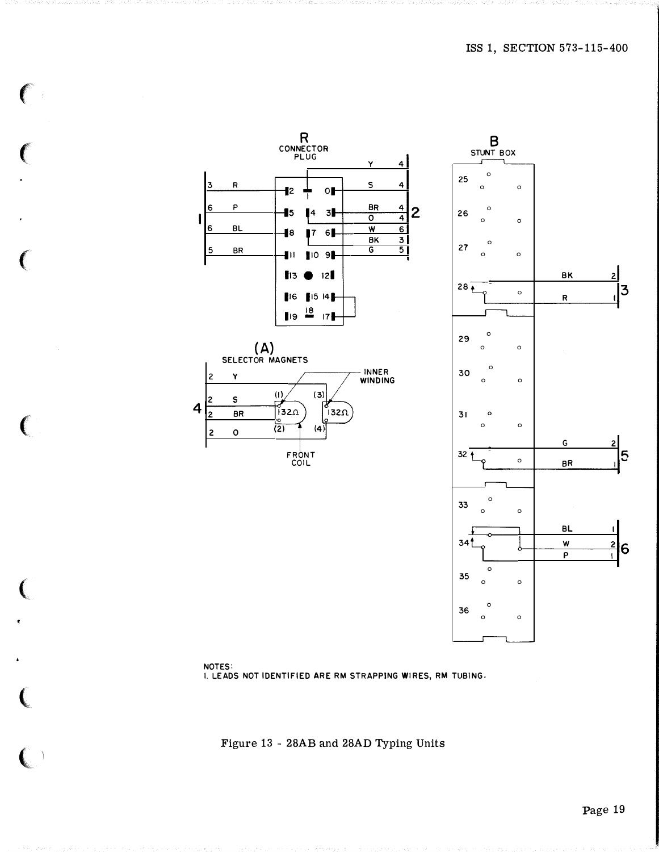



 $\big($ 

 $\epsilon$ 

(

 $\big($ 

(

 $\big($ 

 $\left( \begin{array}{c} \end{array} \right)$ 

I. LEADS NOT IDENTIFIED ARE RM STRAPPING WIRES, RM TUBING.

Figure 13 - 28AB and 28AD Typing Units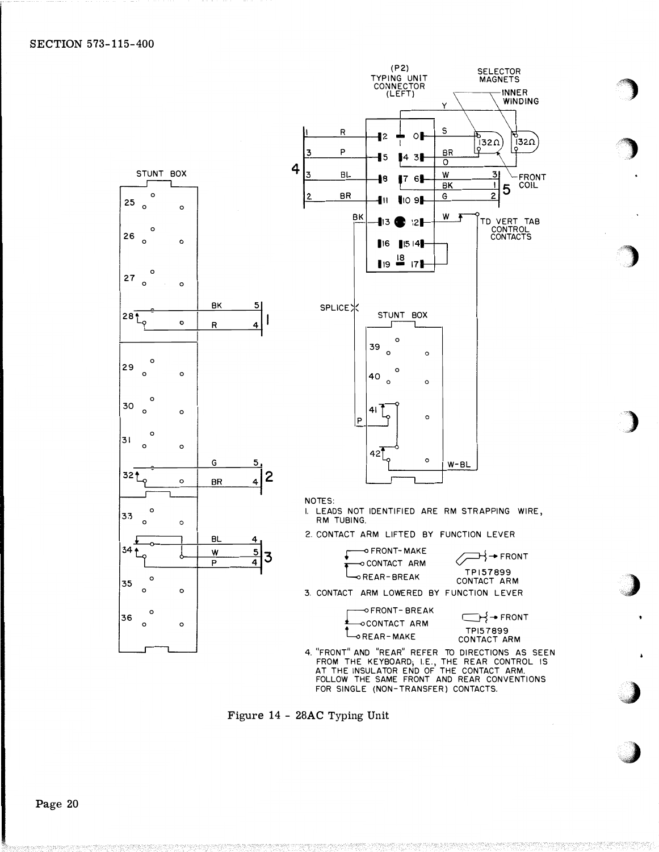### SECTION 573-115-400



.. ··} ......

,J

Figure 14 - 28AC Typing Unit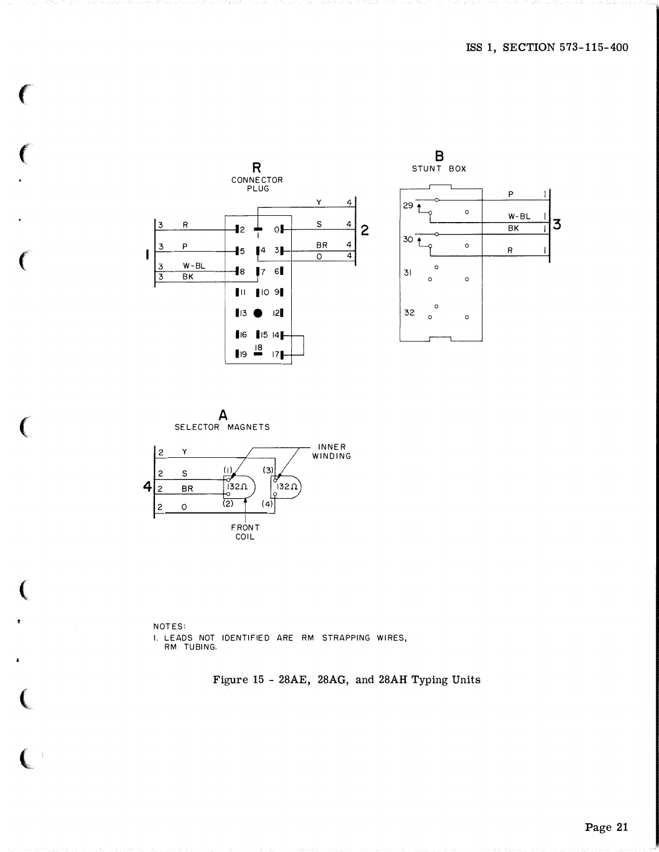



€

 $\overline{C}$ 

NOTES: I. LEADS NOT IDENTIFIED ARE RM STRAPPING WIRES, RM TUBING.

Figure 15 - 28AE, 28AG, and 28AH Typing Units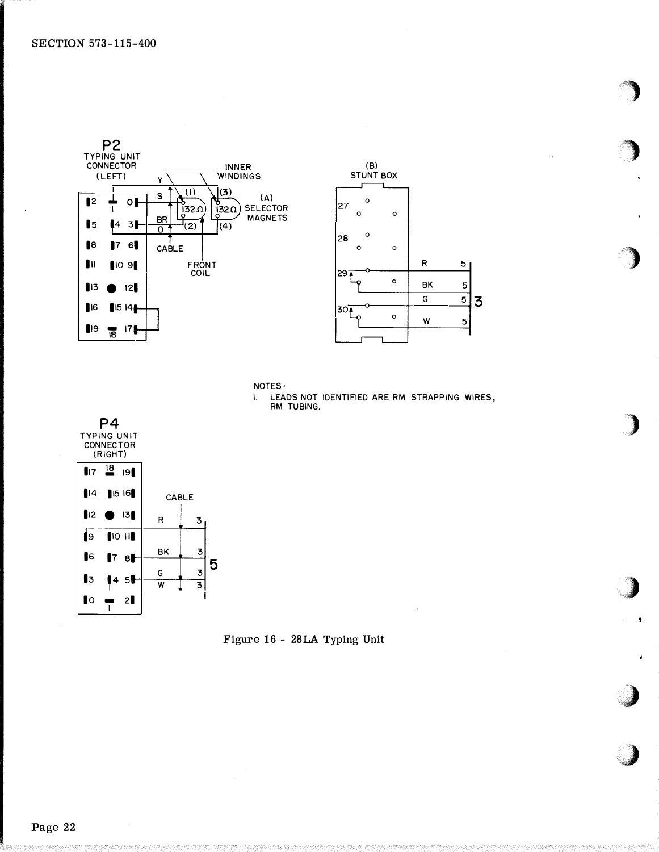



 $\ddot{\phantom{a}}$ 



LEADS NOT IDENTIFIED ARE RM STRAPPING WIRES.  $\mathbf{L}$ RM TUBING.